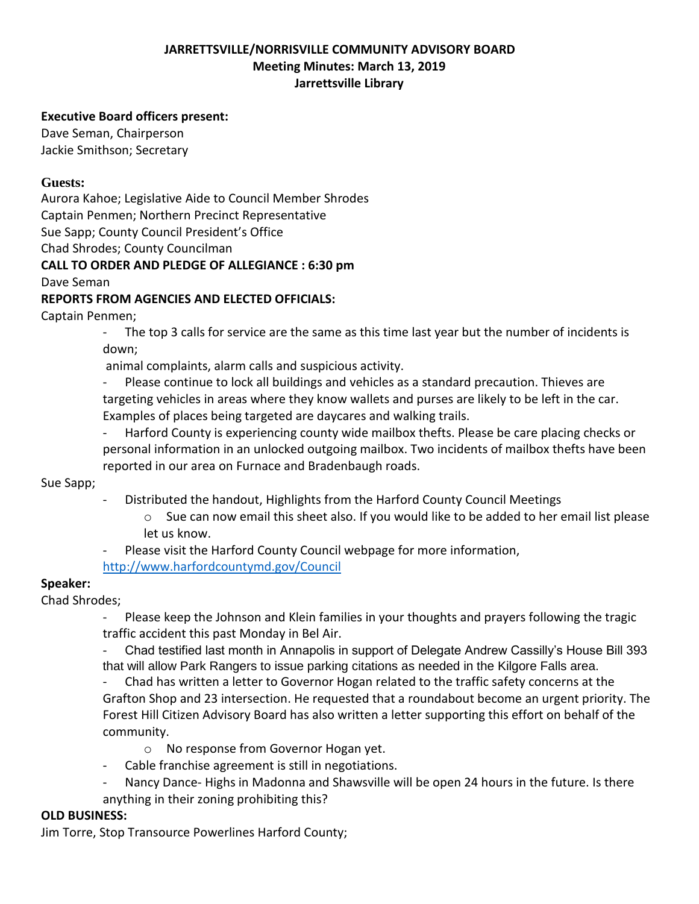## **JARRETTSVILLE/NORRISVILLE COMMUNITY ADVISORY BOARD Meeting Minutes: March 13, 2019 Jarrettsville Library**

#### **Executive Board officers present:**

Dave Seman, Chairperson Jackie Smithson; Secretary

#### **Guests:**

Aurora Kahoe; Legislative Aide to Council Member Shrodes

Captain Penmen; Northern Precinct Representative

Sue Sapp; County Council President's Office

Chad Shrodes; County Councilman

#### **CALL TO ORDER AND PLEDGE OF ALLEGIANCE : 6:30 pm**

Dave Seman

#### **REPORTS FROM AGENCIES AND ELECTED OFFICIALS:**

Captain Penmen;

- The top 3 calls for service are the same as this time last year but the number of incidents is down;

animal complaints, alarm calls and suspicious activity.

- Please continue to lock all buildings and vehicles as a standard precaution. Thieves are targeting vehicles in areas where they know wallets and purses are likely to be left in the car. Examples of places being targeted are daycares and walking trails.

Harford County is experiencing county wide mailbox thefts. Please be care placing checks or personal information in an unlocked outgoing mailbox. Two incidents of mailbox thefts have been reported in our area on Furnace and Bradenbaugh roads.

Sue Sapp;

- Distributed the handout, Highlights from the Harford County Council Meetings
	- $\circ$  Sue can now email this sheet also. If you would like to be added to her email list please let us know.
- Please visit the Harford County Council webpage for more information,

<http://www.harfordcountymd.gov/Council>

## **Speaker:**

Chad Shrodes;

Please keep the Johnson and Klein families in your thoughts and prayers following the tragic traffic accident this past Monday in Bel Air.

- Chad testified last month in Annapolis in support of Delegate Andrew Cassilly's House Bill 393 that will allow Park Rangers to issue parking citations as needed in the Kilgore Falls area.

- Chad has written a letter to Governor Hogan related to the traffic safety concerns at the Grafton Shop and 23 intersection. He requested that a roundabout become an urgent priority. The Forest Hill Citizen Advisory Board has also written a letter supporting this effort on behalf of the community.

- o No response from Governor Hogan yet.
- Cable franchise agreement is still in negotiations.
- Nancy Dance- Highs in Madonna and Shawsville will be open 24 hours in the future. Is there anything in their zoning prohibiting this?

## **OLD BUSINESS:**

Jim Torre, Stop Transource Powerlines Harford County;